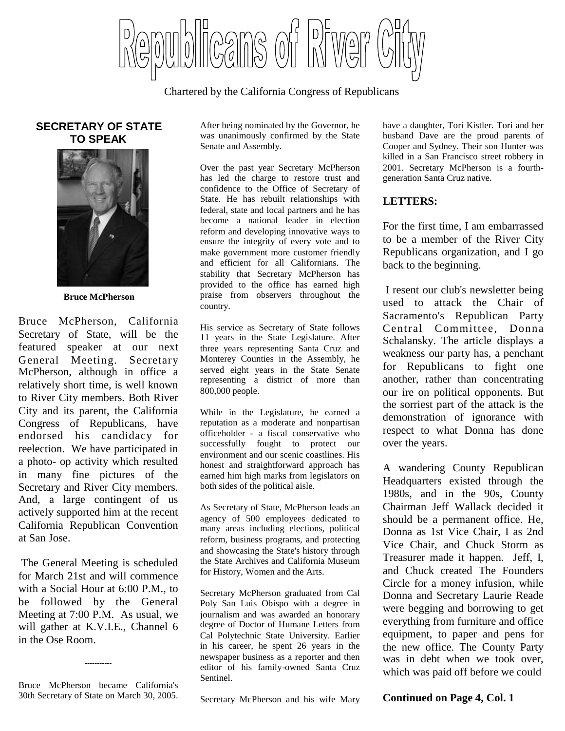blicans of bliwer

Chartered by the California Congress of Republicans

#### **SECRETARY OF STATE TO SPEAK**



**Bruce McPherson**

Bruce McPherson, California Secretary of State, will be the featured speaker at our next General Meeting. Secretary McPherson, although in office a relatively short time, is well known to River City members. Both River City and its parent, the California Congress of Republicans, have endorsed his candidacy for reelection. We have participated in a photo- op activity which resulted in many fine pictures of the Secretary and River City members. And, a large contingent of us actively supported him at the recent California Republican Convention at San Jose.

The General Meeting is scheduled for March 21st and will commence with a Social Hour at 6:00 P.M., to be followed by the General Meeting at 7:00 P.M. As usual, we will gather at K.V.I.E., Channel 6 in the Ose Room.

Bruce McPherson became California's 30th Secretary of State on March 30, 2005.

-----------

After being nominated by the Governor, he was unanimously confirmed by the State Senate and Assembly.

Over the past year Secretary McPherson has led the charge to restore trust and confidence to the Office of Secretary of State. He has rebuilt relationships with federal, state and local partners and he has become a national leader in election reform and developing innovative ways to ensure the integrity of every vote and to make government more customer friendly and efficient for all Californians. The stability that Secretary McPherson has provided to the office has earned high praise from observers throughout the country.

His service as Secretary of State follows 11 years in the State Legislature. After three years representing Santa Cruz and Monterey Counties in the Assembly, he served eight years in the State Senate representing a district of more than 800,000 people.

While in the Legislature, he earned a reputation as a moderate and nonpartisan officeholder - a fiscal conservative who successfully fought to protect our environment and our scenic coastlines. His honest and straightforward approach has earned him high marks from legislators on both sides of the political aisle.

As Secretary of State, McPherson leads an agency of 500 employees dedicated to many areas including elections, political reform, business programs, and protecting and showcasing the State's history through the State Archives and California Museum for History, Women and the Arts.

Secretary McPherson graduated from Cal Poly San Luis Obispo with a degree in journalism and was awarded an honorary degree of Doctor of Humane Letters from Cal Polytechnic State University. Earlier in his career, he spent 26 years in the newspaper business as a reporter and then editor of his family-owned Santa Cruz Sentinel.

Secretary McPherson and his wife Mary

have a daughter, Tori Kistler. Tori and her husband Dave are the proud parents of Cooper and Sydney. Their son Hunter was killed in a San Francisco street robbery in 2001. Secretary McPherson is a fourthgeneration Santa Cruz native.

#### **LETTERS:**

For the first time, I am embarrassed to be a member of the River City Republicans organization, and I go back to the beginning.

I resent our club's newsletter being used to attack the Chair of Sacramento's Republican Party Central Committee, Donna Schalansky. The article displays a weakness our party has, a penchant for Republicans to fight one another, rather than concentrating our ire on political opponents. But the sorriest part of the attack is the demonstration of ignorance with respect to what Donna has done over the years.

A wandering County Republican Headquarters existed through the 1980s, and in the 90s, County Chairman Jeff Wallack decided it should be a permanent office. He, Donna as 1st Vice Chair, I as 2nd Vice Chair, and Chuck Storm as Treasurer made it happen. Jeff, I, and Chuck created The Founders Circle for a money infusion, while Donna and Secretary Laurie Reade were begging and borrowing to get everything from furniture and office equipment, to paper and pens for the new office. The County Party was in debt when we took over, which was paid off before we could

**Continued on Page 4, Col. 1**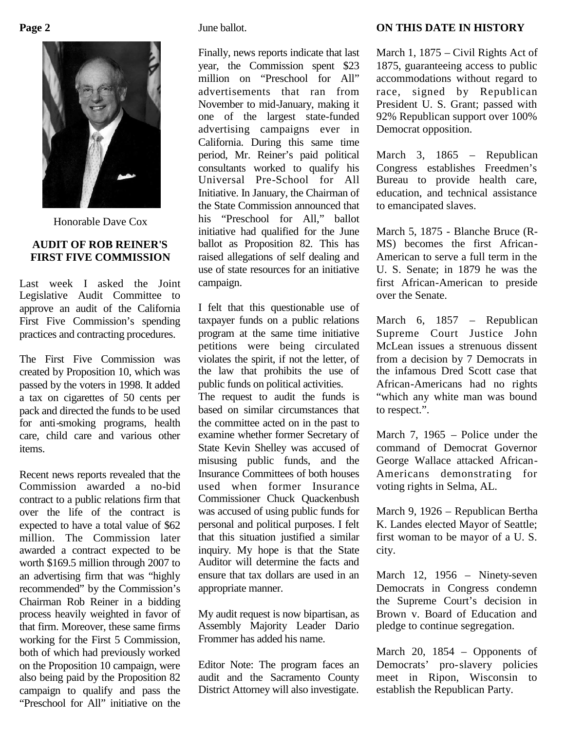

Honorable Dave Cox

#### **AUDIT OF ROB REINER'S FIRST FIVE COMMISSION**

Last week I asked the Joint Legislative Audit Committee to approve an audit of the California First Five Commission's spending practices and contracting procedures.

The First Five Commission was created by Proposition 10, which was passed by the voters in 1998. It added a tax on cigarettes of 50 cents per pack and directed the funds to be used for anti-smoking programs, health care, child care and various other items.

Recent news reports revealed that the Commission awarded a no-bid contract to a public relations firm that over the life of the contract is expected to have a total value of \$62 million. The Commission later awarded a contract expected to be worth \$169.5 million through 2007 to an advertising firm that was "highly recommended" by the Commission's Chairman Rob Reiner in a bidding process heavily weighted in favor of that firm. Moreover, these same firms working for the First 5 Commission, both of which had previously worked on the Proposition 10 campaign, were also being paid by the Proposition 82 campaign to qualify and pass the "Preschool for All" initiative on the

June ballot.

Finally, news reports indicate that last year, the Commission spent \$23 million on "Preschool for All" advertisements that ran from November to mid-January, making it one of the largest state-funded advertising campaigns ever in California. During this same time period, Mr. Reiner's paid political consultants worked to qualify his Universal Pre-School for All Initiative. In January, the Chairman of the State Commission announced that his "Preschool for All," ballot initiative had qualified for the June ballot as Proposition 82. This has raised allegations of self dealing and use of state resources for an initiative campaign.

I felt that this questionable use of taxpayer funds on a public relations program at the same time initiative petitions were being circulated violates the spirit, if not the letter, of the law that prohibits the use of public funds on political activities.

The request to audit the funds is based on similar circumstances that the committee acted on in the past to examine whether former Secretary of State Kevin Shelley was accused of misusing public funds, and the Insurance Committees of both houses used when former Insurance Commissioner Chuck Quackenbush was accused of using public funds for personal and political purposes. I felt that this situation justified a similar inquiry. My hope is that the State Auditor will determine the facts and ensure that tax dollars are used in an appropriate manner.

My audit request is now bipartisan, as Assembly Majority Leader Dario Frommer has added his name.

Editor Note: The program faces an audit and the Sacramento County District Attorney will also investigate.

#### **ON THIS DATE IN HISTORY**

March 1, 1875 – Civil Rights Act of 1875, guaranteeing access to public accommodations without regard to race, signed by Republican President U. S. Grant; passed with 92% Republican support over 100% Democrat opposition.

March 3, 1865 – Republican Congress establishes Freedmen's Bureau to provide health care, education, and technical assistance to emancipated slaves.

March 5, 1875 - Blanche Bruce (R-MS) becomes the first African-American to serve a full term in the U. S. Senate; in 1879 he was the first African-American to preside over the Senate.

March 6, 1857 – Republican Supreme Court Justice John McLean issues a strenuous dissent from a decision by 7 Democrats in the infamous Dred Scott case that African-Americans had no rights "which any white man was bound to respect.".

March 7, 1965 – Police under the command of Democrat Governor George Wallace attacked African-Americans demonstrating for voting rights in Selma, AL.

March 9, 1926 – Republican Bertha K. Landes elected Mayor of Seattle; first woman to be mayor of a U. S. city.

March 12, 1956 – Ninety-seven Democrats in Congress condemn the Supreme Court's decision in Brown v. Board of Education and pledge to continue segregation.

March 20, 1854 – Opponents of Democrats' pro-slavery policies meet in Ripon, Wisconsin to establish the Republican Party.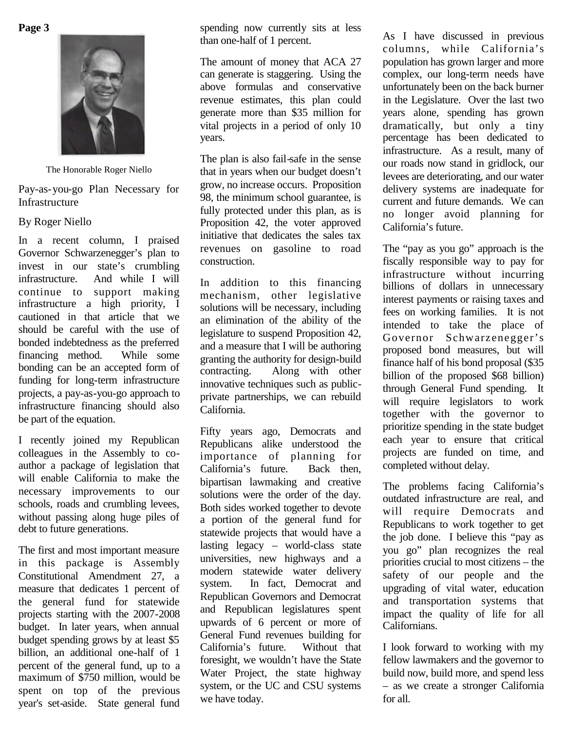**Page 3**



The Honorable Roger Niello

Pay-as-you-go Plan Necessary for Infrastructure

#### By Roger Niello

In a recent column, I praised Governor Schwarzenegger's plan to invest in our state's crumbling infrastructure. And while I will continue to support making infrastructure a high priority, I cautioned in that article that we should be careful with the use of bonded indebtedness as the preferred financing method. While some bonding can be an accepted form of funding for long-term infrastructure projects, a pay-as-you-go approach to infrastructure financing should also be part of the equation.

I recently joined my Republican colleagues in the Assembly to coauthor a package of legislation that will enable California to make the necessary improvements to our schools, roads and crumbling levees, without passing along huge piles of debt to future generations.

The first and most important measure in this package is Assembly Constitutional Amendment 27, a modern system. measure that dedicates 1 percent of the general fund for statewide projects starting with the 2007-2008 budget. In later years, when annual budget spending grows by at least \$5 billion, an additional one-half of 1 percent of the general fund, up to a maximum of \$750 million, would be spent on top of the previous year's set-aside. State general fund

spending now currently sits at less than one-half of 1 percent.

The amount of money that ACA 27 can generate is staggering. Using the above formulas and conservative revenue estimates, this plan could generate more than \$35 million for vital projects in a period of only 10 years.

The plan is also fail-safe in the sense that in years when our budget doesn't grow, no increase occurs. Proposition 98, the minimum school guarantee, is fully protected under this plan, as is Proposition 42, the voter approved initiative that dedicates the sales tax revenues on gasoline to road construction.

In addition to this financing mechanism, other legislative solutions will be necessary, including an elimination of the ability of the legislature to suspend Proposition 42, and a measure that I will be authoring granting the authority for design-build contracting. Along with other innovative techniques such as publicprivate partnerships, we can rebuild California.

Fifty years ago, Democrats and Republicans alike understood the importance of planning for California's future. Back then, bipartisan lawmaking and creative solutions were the order of the day. Both sides worked together to devote a portion of the general fund for statewide projects that would have a lasting legacy – world-class state universities, new highways and a modern statewide water delivery In fact, Democrat and Republican Governors and Democrat and Republican legislatures spent upwards of 6 percent or more of General Fund revenues building for California's future. Without that foresight, we wouldn't have the State Water Project, the state highway system, or the UC and CSU systems we have today.

As I have discussed in previous columns, while California's population has grown larger and more complex, our long-term needs have unfortunately been on the back burner in the Legislature. Over the last two years alone, spending has grown dramatically, but only a tiny percentage has been dedicated to infrastructure. As a result, many of our roads now stand in gridlock, our levees are deteriorating, and our water delivery systems are inadequate for current and future demands. We can no longer avoid planning for California's future.

The "pay as you go" approach is the fiscally responsible way to pay for infrastructure without incurring billions of dollars in unnecessary interest payments or raising taxes and fees on working families. It is not intended to take the place of Governor Schwarzenegger's proposed bond measures, but will finance half of his bond proposal (\$35 billion of the proposed \$68 billion) through General Fund spending. It will require legislators to work together with the governor to prioritize spending in the state budget each year to ensure that critical projects are funded on time, and completed without delay.

The problems facing California's outdated infrastructure are real, and will require Democrats and Republicans to work together to get the job done. I believe this "pay as you go" plan recognizes the real priorities crucial to most citizens – the safety of our people and the upgrading of vital water, education and transportation systems that impact the quality of life for all Californians.

I look forward to working with my fellow lawmakers and the governor to build now, build more, and spend less – as we create a stronger California for all.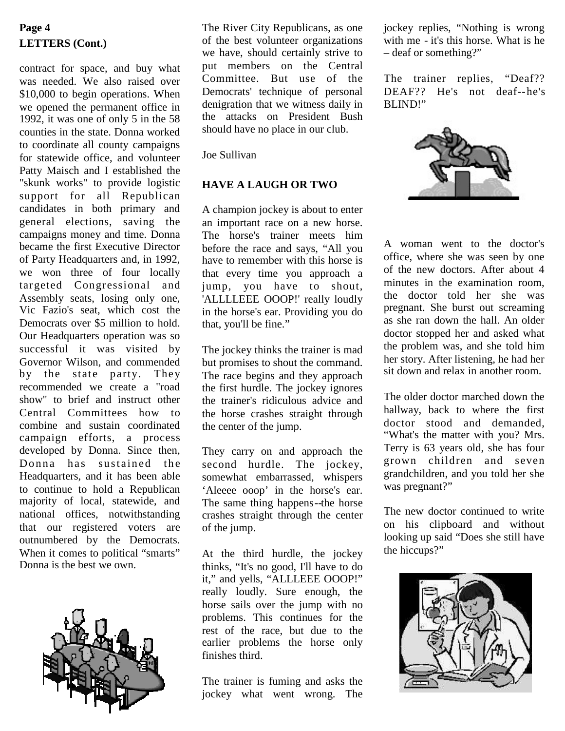# **LETTERS (Cont.)**

contract for space, and buy what was needed. We also raised over \$10,000 to begin operations. When we opened the permanent office in 1992, it was one of only 5 in the 58 counties in the state. Donna worked to coordinate all county campaigns for statewide office, and volunteer Patty Maisch and I established the "skunk works" to provide logistic support for all Republican candidates in both primary and general elections, saving the campaigns money and time. Donna became the first Executive Director of Party Headquarters and, in 1992, we won three of four locally targeted Congressional and Assembly seats, losing only one, Vic Fazio's seat, which cost the Democrats over \$5 million to hold. Our Headquarters operation was so successful it was visited by Governor Wilson, and commended by the state party. They recommended we create a "road show" to brief and instruct other Central Committees how to combine and sustain coordinated campaign efforts, a process developed by Donna. Since then, Donna has sustained the Headquarters, and it has been able to continue to hold a Republican majority of local, statewide, and national offices, notwithstanding that our registered voters are outnumbered by the Democrats. When it comes to political "smarts" Donna is the best we own.



**Page 4** The River City Republicans, as one jockey replies, "Nothing is wrong of the best volunteer organizations we have, should certainly strive to put members on the Central Committee. But use of the Democrats' technique of personal denigration that we witness daily in the attacks on President Bush should have no place in our club.

Joe Sullivan

#### **HAVE A LAUGH OR TWO**

A champion jockey is about to enter an important race on a new horse. The horse's trainer meets him before the race and says, "All you have to remember with this horse is that every time you approach a jump, you have to shout, 'ALLLLEEE OOOP!' really loudly in the horse's ear. Providing you do that, you'll be fine."

The jockey thinks the trainer is mad but promises to shout the command. The race begins and they approach the first hurdle. The jockey ignores the trainer's ridiculous advice and the horse crashes straight through the center of the jump.

They carry on and approach the second hurdle. The jockey, somewhat embarrassed, whispers 'Aleeee ooop' in the horse's ear. The same thing happens--the horse crashes straight through the center of the jump.

At the third hurdle, the jockey thinks, "It's no good, I'll have to do it," and yells, "ALLLEEE OOOP!" really loudly. Sure enough, the horse sails over the jump with no problems. This continues for the rest of the race, but due to the earlier problems the horse only finishes third.

The trainer is fuming and asks the jockey what went wrong. The

with me - it's this horse. What is he – deaf or something?"

The trainer replies, "Deaf?? DEAF?? He's not deaf--he's BLIND!"



A woman went to the doctor's office, where she was seen by one of the new doctors. After about 4 minutes in the examination room, the doctor told her she was pregnant. She burst out screaming as she ran down the hall. An older doctor stopped her and asked what the problem was, and she told him her story. After listening, he had her sit down and relax in another room.

The older doctor marched down the hallway, back to where the first doctor stood and demanded, "What's the matter with you? Mrs. Terry is 63 years old, she has four grown children and seven grandchildren, and you told her she was pregnant?"

The new doctor continued to write on his clipboard and without looking up said "Does she still have the hiccups?"

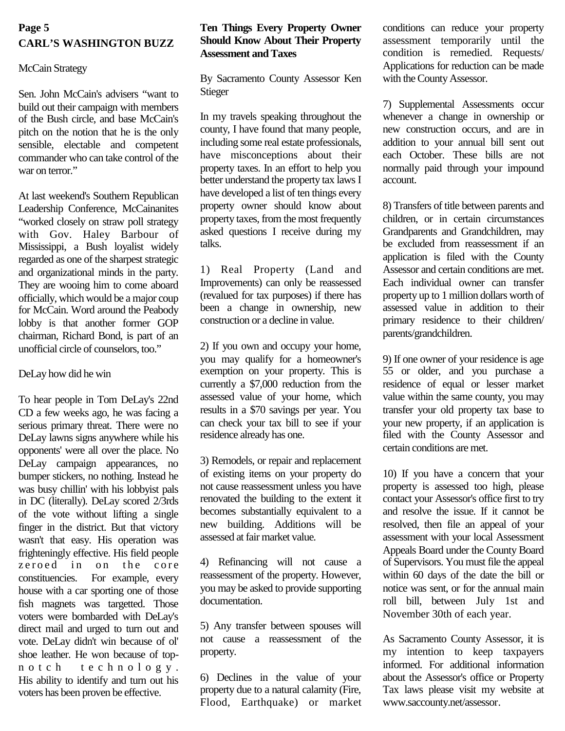### **Page 5 CARL'S WASHINGTON BUZZ**

#### McCain Strategy

Sen. John McCain's advisers "want to build out their campaign with members of the Bush circle, and base McCain's pitch on the notion that he is the only sensible, electable and competent commander who can take control of the war on terror."

At last weekend's Southern Republican Leadership Conference, McCainanites "worked closely on straw poll strategy with Gov. Haley Barbour of Mississippi, a Bush loyalist widely regarded as one of the sharpest strategic and organizational minds in the party. They are wooing him to come aboard officially, which would be a major coup for McCain. Word around the Peabody lobby is that another former GOP chairman, Richard Bond, is part of an unofficial circle of counselors, too."

#### DeLay how did he win

To hear people in Tom DeLay's 22nd CD a few weeks ago, he was facing a serious primary threat. There were no DeLay lawns signs anywhere while his opponents' were all over the place. No DeLay campaign appearances, no bumper stickers, no nothing. Instead he was busy chillin' with his lobbyist pals in DC (literally). DeLay scored 2/3rds of the vote without lifting a single finger in the district. But that victory wasn't that easy. His operation was frighteningly effective. His field people  $zeroed$  in on the core constituencies. For example, every house with a car sporting one of those fish magnets was targetted. Those voters were bombarded with DeLay's direct mail and urged to turn out and vote. DeLay didn't win because of ol' shoe leather. He won because of topn o t c h t e c h n o l o g y . His ability to identify and turn out his voters has been proven be effective.

#### **Ten Things Every Property Owner Should Know About Their Property Assessment and Taxes**

By Sacramento County Assessor Ken Stieger

In my travels speaking throughout the county, I have found that many people, including some real estate professionals, have misconceptions about their property taxes. In an effort to help you better understand the property tax laws I have developed a list of ten things every property owner should know about property taxes, from the most frequently asked questions I receive during my talks.

1) Real Property (Land and Improvements) can only be reassessed (revalued for tax purposes) if there has been a change in ownership, new construction or a decline in value.

2) If you own and occupy your home, you may qualify for a homeowner's exemption on your property. This is currently a \$7,000 reduction from the assessed value of your home, which results in a \$70 savings per year. You can check your tax bill to see if your residence already has one.

3) Remodels, or repair and replacement of existing items on your property do not cause reassessment unless you have renovated the building to the extent it becomes substantially equivalent to a new building. Additions will be assessed at fair market value.

4) Refinancing will not cause a reassessment of the property. However, you may be asked to provide supporting documentation.

5) Any transfer between spouses will not cause a reassessment of the property.

6) Declines in the value of your property due to a natural calamity (Fire, Flood, Earthquake) or market conditions can reduce your property assessment temporarily until the condition is remedied. Requests/ Applications for reduction can be made with the County Assessor.

7) Supplemental Assessments occur whenever a change in ownership or new construction occurs, and are in addition to your annual bill sent out each October. These bills are not normally paid through your impound account.

8) Transfers of title between parents and children, or in certain circumstances Grandparents and Grandchildren, may be excluded from reassessment if an application is filed with the County Assessor and certain conditions are met. Each individual owner can transfer property up to 1 million dollars worth of assessed value in addition to their primary residence to their children/ parents/grandchildren.

9) If one owner of your residence is age 55 or older, and you purchase a residence of equal or lesser market value within the same county, you may transfer your old property tax base to your new property, if an application is filed with the County Assessor and certain conditions are met.

10) If you have a concern that your property is assessed too high, please contact your Assessor's office first to try and resolve the issue. If it cannot be resolved, then file an appeal of your assessment with your local Assessment Appeals Board under the County Board of Supervisors. You must file the appeal within 60 days of the date the bill or notice was sent, or for the annual main roll bill, between July 1st and November 30th of each year.

As Sacramento County Assessor, it is my intention to keep taxpayers informed. For additional information about the Assessor's office or Property Tax laws please visit my website at www.saccounty.net/assessor.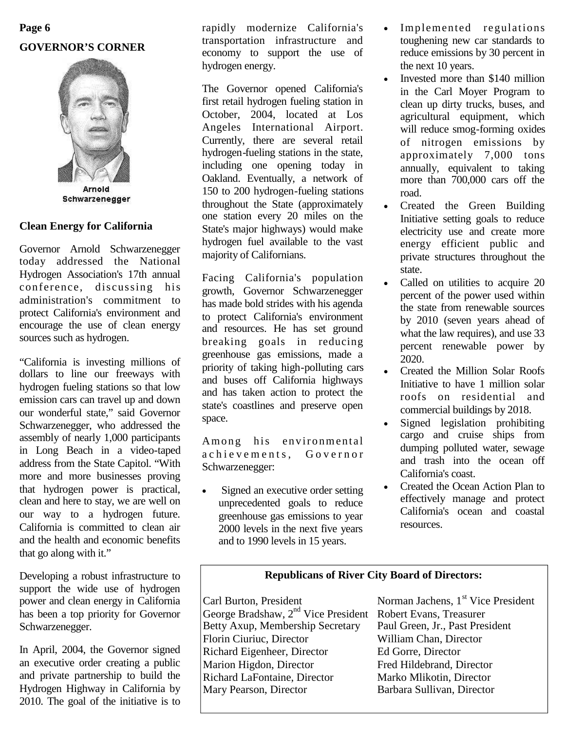# **Page 6 GOVERNOR'S CORNER**



# Schwarzenegger

#### **Clean Energy for California**

Governor Arnold Schwarzenegger today addressed the National Hydrogen Association's 17th annual conference, discussing his administration's commitment to protect California's environment and encourage the use of clean energy sources such as hydrogen.

"California is investing millions of dollars to line our freeways with hydrogen fueling stations so that low emission cars can travel up and down our wonderful state," said Governor Schwarzenegger, who addressed the assembly of nearly 1,000 participants in Long Beach in a video-taped address from the State Capitol. "With more and more businesses proving that hydrogen power is practical, clean and here to stay, we are well on our way to a hydrogen future. California is committed to clean air and the health and economic benefits that go along with it."

Developing a robust infrastructure to support the wide use of hydrogen power and clean energy in California has been a top priority for Governor Schwarzenegger.

In April, 2004, the Governor signed an executive order creating a public and private partnership to build the Hydrogen Highway in California by 2010. The goal of the initiative is to rapidly modernize California's transportation infrastructure and economy to support the use of hydrogen energy.

The Governor opened California's first retail hydrogen fueling station in October, 2004, located at Los Angeles International Airport. Currently, there are several retail hydrogen-fueling stations in the state, including one opening today in Oakland. Eventually, a network of 150 to 200 hydrogen-fueling stations throughout the State (approximately one station every 20 miles on the State's major highways) would make hydrogen fuel available to the vast majority of Californians.

Facing California's population growth, Governor Schwarzenegger has made bold strides with his agenda to protect California's environment and resources. He has set ground breaking goals in reducing greenhouse gas emissions, made a priority of taking high-polluting cars and buses off California highways and has taken action to protect the state's coastlines and preserve open space.

Among his environmental a chievements. Governor Schwarzenegger:

• Signed an executive order setting unprecedented goals to reduce greenhouse gas emissions to year 2000 levels in the next five years and to 1990 levels in 15 years.

- Implemented regulations toughening new car standards to reduce emissions by 30 percent in the next 10 years.
- Invested more than \$140 million in the Carl Moyer Program to clean up dirty trucks, buses, and agricultural equipment, which will reduce smog-forming oxides of nitrogen emissions by approximately 7,000 tons annually, equivalent to taking more than 700,000 cars off the road.
- Created the Green Building Initiative setting goals to reduce electricity use and create more energy efficient public and private structures throughout the state.
- Called on utilities to acquire 20 percent of the power used within the state from renewable sources by 2010 (seven years ahead of what the law requires), and use 33 percent renewable power by 2020.
- Created the Million Solar Roofs Initiative to have 1 million solar roofs on residential and commercial buildings by 2018.
- Signed legislation prohibiting cargo and cruise ships from dumping polluted water, sewage and trash into the ocean off California's coast.
- Created the Ocean Action Plan to effectively manage and protect California's ocean and coastal resources.

#### **Republicans of River City Board of Directors:**

Carl Burton, President Norman Jachens, 1<sup>st</sup> Vice President George Bradshaw, 2<sup>nd</sup> Vice President Robert Evans, Treasurer<br>Betty Axup, Membership Secretary Paul Green, Jr., Past President Betty Axup, Membership Secretary Florin Ciuriuc, Director William Chan, Director Richard Eigenheer, Director Ed Gorre, Director Marion Higdon, Director Fred Hildebrand, Director Richard LaFontaine, Director Marko Mlikotin, Director<br>Mary Pearson, Director Barbara Sullivan, Director

Barbara Sullivan, Director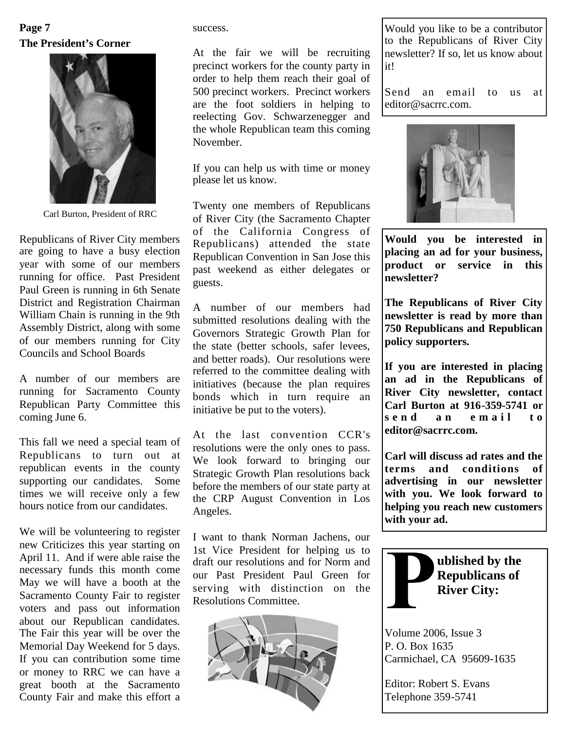## **The President's Corner Page 7**



Carl Burton, President of RRC

Republicans of River City members are going to have a busy election year with some of our members running for office. Past President Paul Green is running in 6th Senate District and Registration Chairman William Chain is running in the 9th Assembly District, along with some of our members running for City Councils and School Boards

A number of our members are running for Sacramento County Republican Party Committee this coming June 6.

This fall we need a special team of Republicans to turn out at republican events in the county supporting our candidates. Some times we will receive only a few hours notice from our candidates.

We will be volunteering to register new Criticizes this year starting on April 11. And if were able raise the necessary funds this month come May we will have a booth at the Sacramento County Fair to register voters and pass out information about our Republican candidates. The Fair this year will be over the Memorial Day Weekend for 5 days. If you can contribution some time or money to RRC we can have a great booth at the Sacramento County Fair and make this effort a

success.

At the fair we will be recruiting precinct workers for the county party in order to help them reach their goal of 500 precinct workers. Precinct workers are the foot soldiers in helping to reelecting Gov. Schwarzenegger and the whole Republican team this coming November.

If you can help us with time or money please let us know.

Twenty one members of Republicans of River City (the Sacramento Chapter of the California Congress of Republicans) attended the state Republican Convention in San Jose this past weekend as either delegates or guests.

A number of our members had submitted resolutions dealing with the Governors Strategic Growth Plan for the state (better schools, safer levees, and better roads). Our resolutions were referred to the committee dealing with initiatives (because the plan requires bonds which in turn require an initiative be put to the voters).

At the last convention CCR's resolutions were the only ones to pass. We look forward to bringing our  $\begin{bmatrix} \text{Carl W1} \\ \text{terms} \end{bmatrix}$ Strategic Growth Plan resolutions back before the members of our state party at the CRP August Convention in Los Angeles.

I want to thank Norman Jachens, our 1st Vice President for helping us to draft our resolutions and for Norm and our Past President Paul Green for serving with distinction on the Resolutions Committee.



Would you like to be a contributor to the Republicans of River City newsletter? If so, let us know about it!

Send an email to us at editor@sacrrc.com.



**Would you be interested in placing an ad for your business, product or service in this newsletter?**

**The Republicans of River City newsletter is read by more than 750 Republicans and Republican policy supporters.**

**If you are interested in placing an ad in the Republicans of River City newsletter, contact Carl Burton at 916-359-5741 or** send an email to **editor@sacrrc.com.**

**Carl will discuss ad rates and the** and conditions of **advertising in our newsletter with you. We look forward to helping you reach new customers with your ad.**



Volume 2006, Issue 3 P. O. Box 1635 Carmichael, CA 95609-1635

Editor: Robert S. Evans Telephone 359-5741